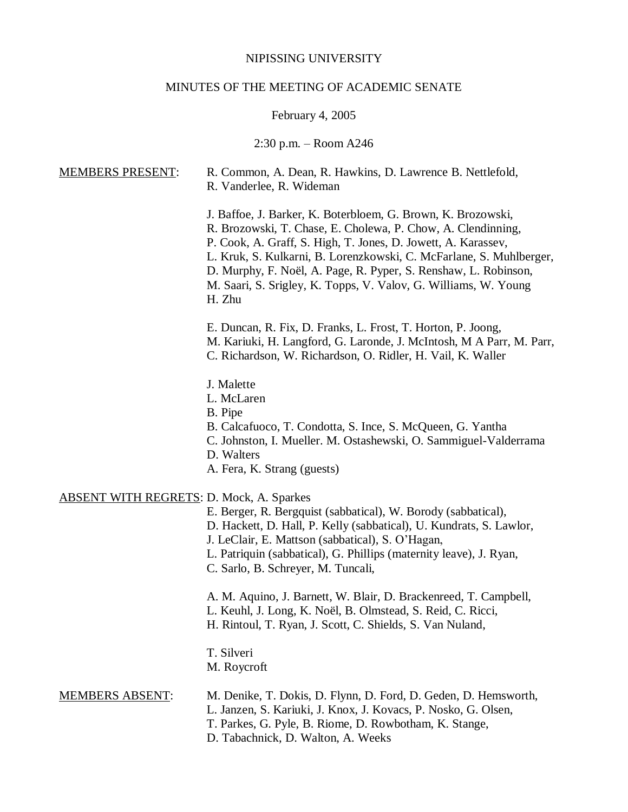# NIPISSING UNIVERSITY

# MINUTES OF THE MEETING OF ACADEMIC SENATE

# February 4, 2005

# 2:30 p.m. – Room A246

| <b>MEMBERS PRESENT:</b>                         | R. Common, A. Dean, R. Hawkins, D. Lawrence B. Nettlefold,<br>R. Vanderlee, R. Wideman                                                                                                                                                                                                                                                                                                                               |
|-------------------------------------------------|----------------------------------------------------------------------------------------------------------------------------------------------------------------------------------------------------------------------------------------------------------------------------------------------------------------------------------------------------------------------------------------------------------------------|
|                                                 | J. Baffoe, J. Barker, K. Boterbloem, G. Brown, K. Brozowski,<br>R. Brozowski, T. Chase, E. Cholewa, P. Chow, A. Clendinning,<br>P. Cook, A. Graff, S. High, T. Jones, D. Jowett, A. Karassev,<br>L. Kruk, S. Kulkarni, B. Lorenzkowski, C. McFarlane, S. Muhlberger,<br>D. Murphy, F. Noël, A. Page, R. Pyper, S. Renshaw, L. Robinson,<br>M. Saari, S. Srigley, K. Topps, V. Valov, G. Williams, W. Young<br>H. Zhu |
|                                                 | E. Duncan, R. Fix, D. Franks, L. Frost, T. Horton, P. Joong,<br>M. Kariuki, H. Langford, G. Laronde, J. McIntosh, M A Parr, M. Parr,<br>C. Richardson, W. Richardson, O. Ridler, H. Vail, K. Waller                                                                                                                                                                                                                  |
|                                                 | J. Malette<br>L. McLaren<br>B. Pipe<br>B. Calcafuoco, T. Condotta, S. Ince, S. McQueen, G. Yantha<br>C. Johnston, I. Mueller. M. Ostashewski, O. Sammiguel-Valderrama<br>D. Walters<br>A. Fera, K. Strang (guests)                                                                                                                                                                                                   |
| <b>ABSENT WITH REGRETS: D. Mock, A. Sparkes</b> | E. Berger, R. Bergquist (sabbatical), W. Borody (sabbatical),<br>D. Hackett, D. Hall, P. Kelly (sabbatical), U. Kundrats, S. Lawlor,<br>J. LeClair, E. Mattson (sabbatical), S. O'Hagan,<br>L. Patriquin (sabbatical), G. Phillips (maternity leave), J. Ryan,<br>C. Sarlo, B. Schreyer, M. Tuncali,                                                                                                                 |
|                                                 | A. M. Aquino, J. Barnett, W. Blair, D. Brackenreed, T. Campbell,<br>L. Keuhl, J. Long, K. Noël, B. Olmstead, S. Reid, C. Ricci,<br>H. Rintoul, T. Ryan, J. Scott, C. Shields, S. Van Nuland,                                                                                                                                                                                                                         |
|                                                 | T. Silveri<br>M. Roycroft                                                                                                                                                                                                                                                                                                                                                                                            |
| <b>MEMBERS ABSENT:</b>                          | M. Denike, T. Dokis, D. Flynn, D. Ford, D. Geden, D. Hemsworth,<br>L. Janzen, S. Kariuki, J. Knox, J. Kovacs, P. Nosko, G. Olsen,<br>T. Parkes, G. Pyle, B. Riome, D. Rowbotham, K. Stange,<br>D. Tabachnick, D. Walton, A. Weeks                                                                                                                                                                                    |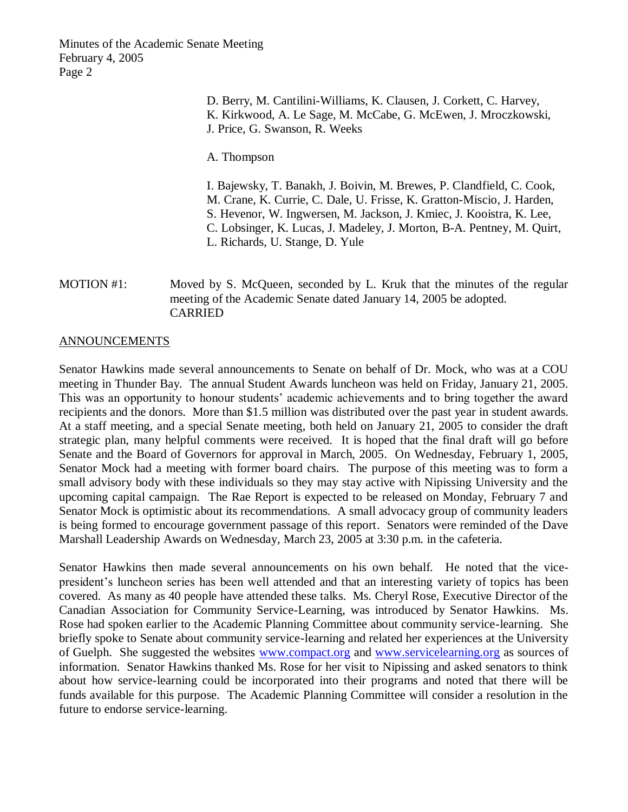> D. Berry, M. Cantilini-Williams, K. Clausen, J. Corkett, C. Harvey, K. Kirkwood, A. Le Sage, M. McCabe, G. McEwen, J. Mroczkowski, J. Price, G. Swanson, R. Weeks

A. Thompson

I. Bajewsky, T. Banakh, J. Boivin, M. Brewes, P. Clandfield, C. Cook, M. Crane, K. Currie, C. Dale, U. Frisse, K. Gratton-Miscio, J. Harden, S. Hevenor, W. Ingwersen, M. Jackson, J. Kmiec, J. Kooistra, K. Lee, C. Lobsinger, K. Lucas, J. Madeley, J. Morton, B-A. Pentney, M. Quirt, L. Richards, U. Stange, D. Yule

MOTION #1: Moved by S. McQueen, seconded by L. Kruk that the minutes of the regular meeting of the Academic Senate dated January 14, 2005 be adopted. CARRIED

# ANNOUNCEMENTS

Senator Hawkins made several announcements to Senate on behalf of Dr. Mock, who was at a COU meeting in Thunder Bay. The annual Student Awards luncheon was held on Friday, January 21, 2005. This was an opportunity to honour students' academic achievements and to bring together the award recipients and the donors. More than \$1.5 million was distributed over the past year in student awards. At a staff meeting, and a special Senate meeting, both held on January 21, 2005 to consider the draft strategic plan, many helpful comments were received. It is hoped that the final draft will go before Senate and the Board of Governors for approval in March, 2005. On Wednesday, February 1, 2005, Senator Mock had a meeting with former board chairs. The purpose of this meeting was to form a small advisory body with these individuals so they may stay active with Nipissing University and the upcoming capital campaign. The Rae Report is expected to be released on Monday, February 7 and Senator Mock is optimistic about its recommendations. A small advocacy group of community leaders is being formed to encourage government passage of this report. Senators were reminded of the Dave Marshall Leadership Awards on Wednesday, March 23, 2005 at 3:30 p.m. in the cafeteria.

Senator Hawkins then made several announcements on his own behalf. He noted that the vicepresident's luncheon series has been well attended and that an interesting variety of topics has been covered. As many as 40 people have attended these talks. Ms. Cheryl Rose, Executive Director of the Canadian Association for Community Service-Learning, was introduced by Senator Hawkins. Ms. Rose had spoken earlier to the Academic Planning Committee about community service-learning. She briefly spoke to Senate about community service-learning and related her experiences at the University of Guelph. She suggested the websites [www.compact.org](http://www.compact.org/) and [www.servicelearning.org](http://www.servicelearning.org/) as sources of information. Senator Hawkins thanked Ms. Rose for her visit to Nipissing and asked senators to think about how service-learning could be incorporated into their programs and noted that there will be funds available for this purpose. The Academic Planning Committee will consider a resolution in the future to endorse service-learning.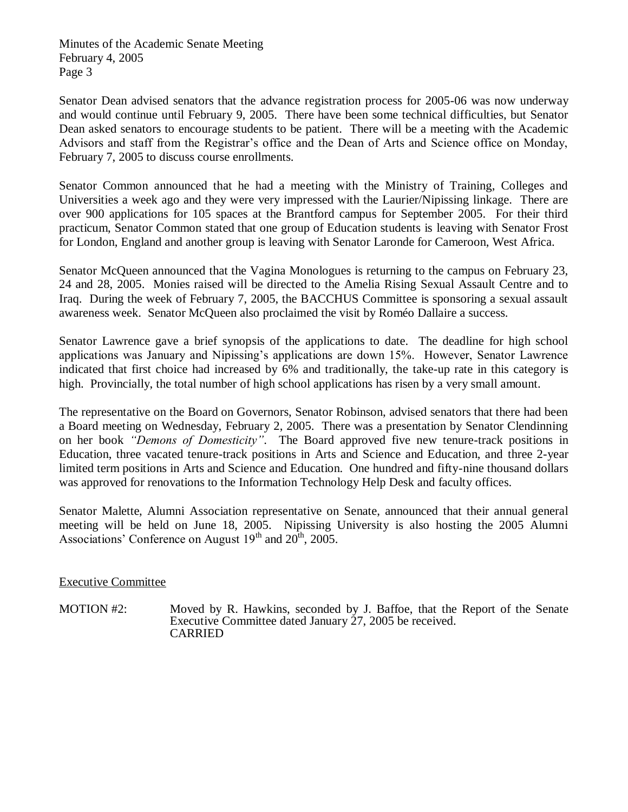Senator Dean advised senators that the advance registration process for 2005-06 was now underway and would continue until February 9, 2005. There have been some technical difficulties, but Senator Dean asked senators to encourage students to be patient. There will be a meeting with the Academic Advisors and staff from the Registrar's office and the Dean of Arts and Science office on Monday, February 7, 2005 to discuss course enrollments.

Senator Common announced that he had a meeting with the Ministry of Training, Colleges and Universities a week ago and they were very impressed with the Laurier/Nipissing linkage. There are over 900 applications for 105 spaces at the Brantford campus for September 2005. For their third practicum, Senator Common stated that one group of Education students is leaving with Senator Frost for London, England and another group is leaving with Senator Laronde for Cameroon, West Africa.

Senator McQueen announced that the Vagina Monologues is returning to the campus on February 23, 24 and 28, 2005. Monies raised will be directed to the Amelia Rising Sexual Assault Centre and to Iraq. During the week of February 7, 2005, the BACCHUS Committee is sponsoring a sexual assault awareness week. Senator McQueen also proclaimed the visit by Roméo Dallaire a success.

Senator Lawrence gave a brief synopsis of the applications to date. The deadline for high school applications was January and Nipissing's applications are down 15%. However, Senator Lawrence indicated that first choice had increased by 6% and traditionally, the take-up rate in this category is high. Provincially, the total number of high school applications has risen by a very small amount.

The representative on the Board on Governors, Senator Robinson, advised senators that there had been a Board meeting on Wednesday, February 2, 2005. There was a presentation by Senator Clendinning on her book *"Demons of Domesticity"*. The Board approved five new tenure-track positions in Education, three vacated tenure-track positions in Arts and Science and Education, and three 2-year limited term positions in Arts and Science and Education. One hundred and fifty-nine thousand dollars was approved for renovations to the Information Technology Help Desk and faculty offices.

Senator Malette, Alumni Association representative on Senate, announced that their annual general meeting will be held on June 18, 2005. Nipissing University is also hosting the 2005 Alumni Associations' Conference on August  $19<sup>th</sup>$  and  $20<sup>th</sup>$ , 2005.

# Executive Committee

MOTION #2: Moved by R. Hawkins, seconded by J. Baffoe, that the Report of the Senate Executive Committee dated January 27, 2005 be received. CARRIED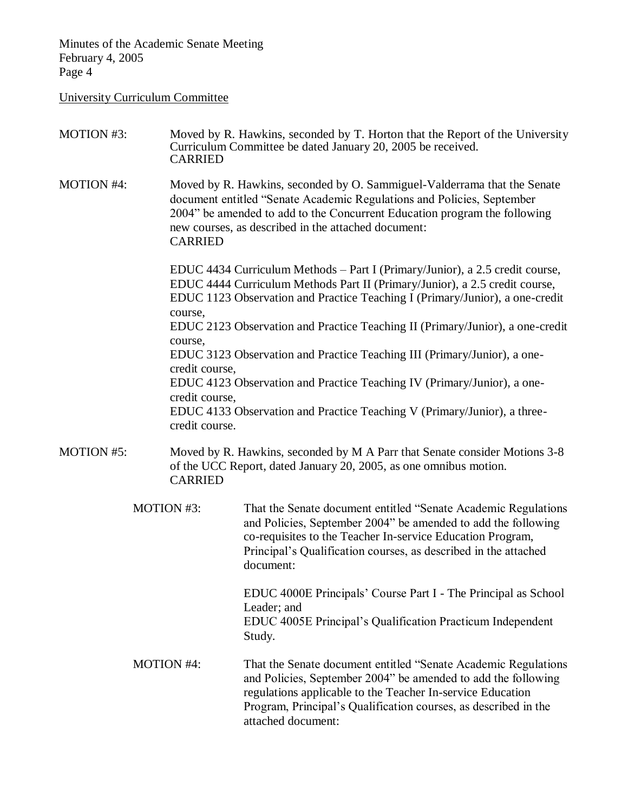#### University Curriculum Committee

MOTION #3: Moved by R. Hawkins, seconded by T. Horton that the Report of the University Curriculum Committee be dated January 20, 2005 be received. CARRIED MOTION #4: Moved by R. Hawkins, seconded by O. Sammiguel-Valderrama that the Senate document entitled "Senate Academic Regulations and Policies, September 2004" be amended to add to the Concurrent Education program the following new courses, as described in the attached document: CARRIED EDUC 4434 Curriculum Methods – Part I (Primary/Junior), a 2.5 credit course, EDUC 4444 Curriculum Methods Part II (Primary/Junior), a 2.5 credit course, EDUC 1123 Observation and Practice Teaching I (Primary/Junior), a one-credit course, EDUC 2123 Observation and Practice Teaching II (Primary/Junior), a one-credit course, EDUC 3123 Observation and Practice Teaching III (Primary/Junior), a onecredit course, EDUC 4123 Observation and Practice Teaching IV (Primary/Junior), a onecredit course, EDUC 4133 Observation and Practice Teaching V (Primary/Junior), a threecredit course. MOTION #5: Moved by R. Hawkins, seconded by M A Parr that Senate consider Motions 3-8 of the UCC Report, dated January 20, 2005, as one omnibus motion. CARRIED MOTION #3: That the Senate document entitled "Senate Academic Regulations and Policies, September 2004" be amended to add the following co-requisites to the Teacher In-service Education Program, Principal's Qualification courses, as described in the attached document: EDUC 4000E Principals' Course Part I - The Principal as School Leader; and EDUC 4005E Principal's Qualification Practicum Independent Study. MOTION #4: That the Senate document entitled "Senate Academic Regulations and Policies, September 2004" be amended to add the following regulations applicable to the Teacher In-service Education Program, Principal's Qualification courses, as described in the attached document: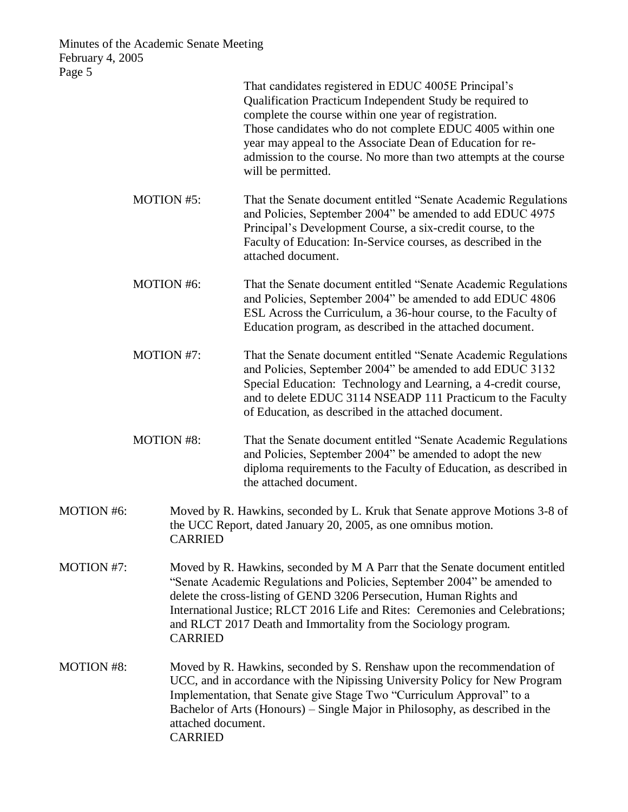| rage <i>J</i>     |                   | That candidates registered in EDUC 4005E Principal's<br>Qualification Practicum Independent Study be required to<br>complete the course within one year of registration.<br>Those candidates who do not complete EDUC 4005 within one<br>year may appeal to the Associate Dean of Education for re-<br>admission to the course. No more than two attempts at the course<br>will be permitted. |  |
|-------------------|-------------------|-----------------------------------------------------------------------------------------------------------------------------------------------------------------------------------------------------------------------------------------------------------------------------------------------------------------------------------------------------------------------------------------------|--|
|                   | <b>MOTION #5:</b> | That the Senate document entitled "Senate Academic Regulations"<br>and Policies, September 2004" be amended to add EDUC 4975<br>Principal's Development Course, a six-credit course, to the<br>Faculty of Education: In-Service courses, as described in the<br>attached document.                                                                                                            |  |
|                   | <b>MOTION #6:</b> | That the Senate document entitled "Senate Academic Regulations"<br>and Policies, September 2004" be amended to add EDUC 4806<br>ESL Across the Curriculum, a 36-hour course, to the Faculty of<br>Education program, as described in the attached document.                                                                                                                                   |  |
|                   | MOTION #7:        | That the Senate document entitled "Senate Academic Regulations"<br>and Policies, September 2004" be amended to add EDUC 3132<br>Special Education: Technology and Learning, a 4-credit course,<br>and to delete EDUC 3114 NSEADP 111 Practicum to the Faculty<br>of Education, as described in the attached document.                                                                         |  |
|                   | <b>MOTION #8:</b> | That the Senate document entitled "Senate Academic Regulations"<br>and Policies, September 2004" be amended to adopt the new<br>diploma requirements to the Faculty of Education, as described in<br>the attached document.                                                                                                                                                                   |  |
| <b>MOTION #6:</b> | <b>CARRIED</b>    | Moved by R. Hawkins, seconded by L. Kruk that Senate approve Motions 3-8 of<br>the UCC Report, dated January 20, 2005, as one omnibus motion.                                                                                                                                                                                                                                                 |  |
| <b>MOTION #7:</b> | <b>CARRIED</b>    | Moved by R. Hawkins, seconded by M A Parr that the Senate document entitled<br>"Senate Academic Regulations and Policies, September 2004" be amended to<br>delete the cross-listing of GEND 3206 Persecution, Human Rights and<br>International Justice; RLCT 2016 Life and Rites: Ceremonies and Celebrations;<br>and RLCT 2017 Death and Immortality from the Sociology program.            |  |
| <b>MOTION #8:</b> | <b>CARRIED</b>    | Moved by R. Hawkins, seconded by S. Renshaw upon the recommendation of<br>UCC, and in accordance with the Nipissing University Policy for New Program<br>Implementation, that Senate give Stage Two "Curriculum Approval" to a<br>Bachelor of Arts (Honours) – Single Major in Philosophy, as described in the<br>attached document.                                                          |  |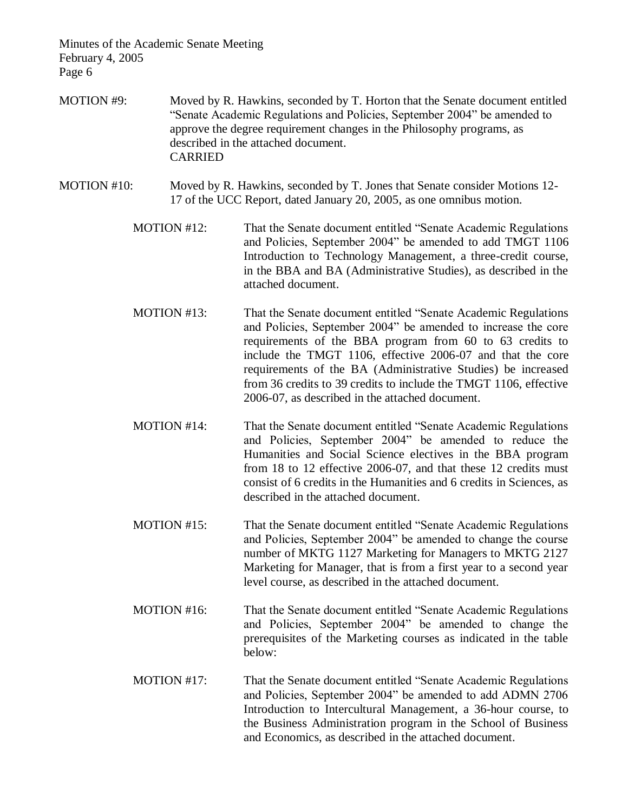- MOTION #9: Moved by R. Hawkins, seconded by T. Horton that the Senate document entitled "Senate Academic Regulations and Policies, September 2004" be amended to approve the degree requirement changes in the Philosophy programs, as described in the attached document. CARRIED
- MOTION #10: Moved by R. Hawkins, seconded by T. Jones that Senate consider Motions 12-17 of the UCC Report, dated January 20, 2005, as one omnibus motion.
	- MOTION #12: That the Senate document entitled "Senate Academic Regulations and Policies, September 2004" be amended to add TMGT 1106 Introduction to Technology Management, a three-credit course, in the BBA and BA (Administrative Studies), as described in the attached document.
	- MOTION #13: That the Senate document entitled "Senate Academic Regulations and Policies, September 2004" be amended to increase the core requirements of the BBA program from 60 to 63 credits to include the TMGT 1106, effective 2006-07 and that the core requirements of the BA (Administrative Studies) be increased from 36 credits to 39 credits to include the TMGT 1106, effective 2006-07, as described in the attached document.
	- MOTION #14: That the Senate document entitled "Senate Academic Regulations and Policies, September 2004" be amended to reduce the Humanities and Social Science electives in the BBA program from 18 to 12 effective 2006-07, and that these 12 credits must consist of 6 credits in the Humanities and 6 credits in Sciences, as described in the attached document.
	- MOTION #15: That the Senate document entitled "Senate Academic Regulations and Policies, September 2004" be amended to change the course number of MKTG 1127 Marketing for Managers to MKTG 2127 Marketing for Manager, that is from a first year to a second year level course, as described in the attached document.
	- MOTION #16: That the Senate document entitled "Senate Academic Regulations" and Policies, September 2004" be amended to change the prerequisites of the Marketing courses as indicated in the table below:
	- MOTION #17: That the Senate document entitled "Senate Academic Regulations and Policies, September 2004" be amended to add ADMN 2706 Introduction to Intercultural Management, a 36-hour course, to the Business Administration program in the School of Business and Economics, as described in the attached document.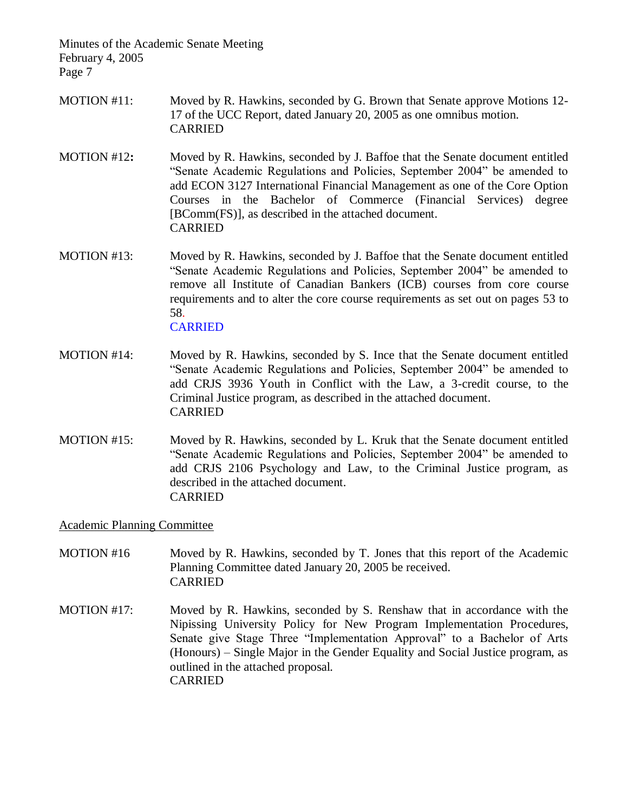- MOTION #11: Moved by R. Hawkins, seconded by G. Brown that Senate approve Motions 12- 17 of the UCC Report, dated January 20, 2005 as one omnibus motion. CARRIED
- MOTION #12**:** Moved by R. Hawkins, seconded by J. Baffoe that the Senate document entitled "Senate Academic Regulations and Policies, September 2004" be amended to add ECON 3127 International Financial Management as one of the Core Option Courses in the Bachelor of Commerce (Financial Services) degree [BComm(FS)], as described in the attached document. CARRIED
- MOTION #13: Moved by R. Hawkins, seconded by J. Baffoe that the Senate document entitled "Senate Academic Regulations and Policies, September 2004" be amended to remove all Institute of Canadian Bankers (ICB) courses from core course requirements and to alter the core course requirements as set out on pages 53 to 58. **CARRIED**
- MOTION #14: Moved by R. Hawkins, seconded by S. Ince that the Senate document entitled "Senate Academic Regulations and Policies, September 2004" be amended to add CRJS 3936 Youth in Conflict with the Law, a 3-credit course, to the Criminal Justice program, as described in the attached document. CARRIED
- MOTION #15: Moved by R. Hawkins, seconded by L. Kruk that the Senate document entitled "Senate Academic Regulations and Policies, September 2004" be amended to add CRJS 2106 Psychology and Law, to the Criminal Justice program, as described in the attached document. CARRIED

#### Academic Planning Committee

- MOTION #16 Moved by R. Hawkins, seconded by T. Jones that this report of the Academic Planning Committee dated January 20, 2005 be received. CARRIED
- MOTION #17: Moved by R. Hawkins, seconded by S. Renshaw that in accordance with the Nipissing University Policy for New Program Implementation Procedures, Senate give Stage Three "Implementation Approval" to a Bachelor of Arts (Honours) – Single Major in the Gender Equality and Social Justice program, as outlined in the attached proposal. CARRIED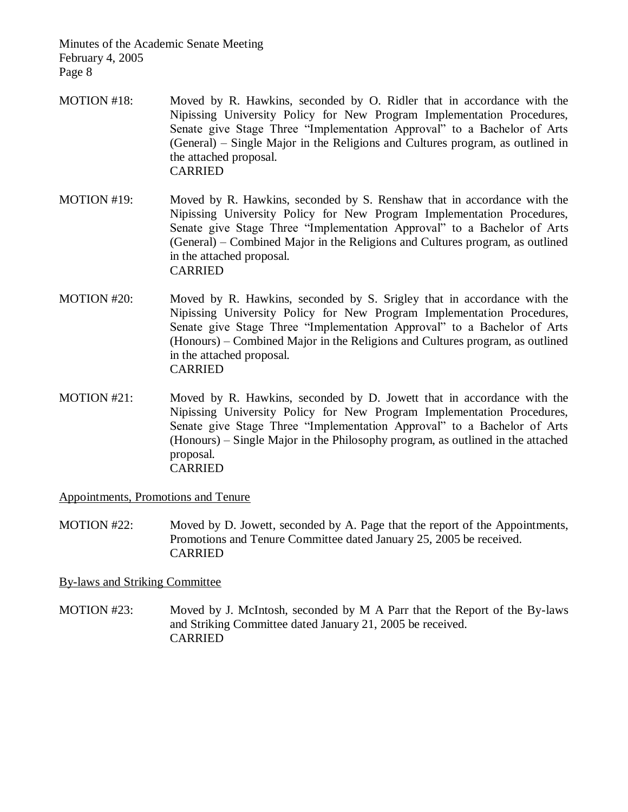- MOTION #18: Moved by R. Hawkins, seconded by O. Ridler that in accordance with the Nipissing University Policy for New Program Implementation Procedures, Senate give Stage Three "Implementation Approval" to a Bachelor of Arts (General) – Single Major in the Religions and Cultures program, as outlined in the attached proposal. CARRIED
- MOTION #19: Moved by R. Hawkins, seconded by S. Renshaw that in accordance with the Nipissing University Policy for New Program Implementation Procedures, Senate give Stage Three "Implementation Approval" to a Bachelor of Arts (General) – Combined Major in the Religions and Cultures program, as outlined in the attached proposal. CARRIED
- MOTION #20: Moved by R. Hawkins, seconded by S. Srigley that in accordance with the Nipissing University Policy for New Program Implementation Procedures, Senate give Stage Three "Implementation Approval" to a Bachelor of Arts (Honours) – Combined Major in the Religions and Cultures program, as outlined in the attached proposal. CARRIED
- MOTION #21: Moved by R. Hawkins, seconded by D. Jowett that in accordance with the Nipissing University Policy for New Program Implementation Procedures, Senate give Stage Three "Implementation Approval" to a Bachelor of Arts (Honours) – Single Major in the Philosophy program, as outlined in the attached proposal. CARRIED

Appointments, Promotions and Tenure

MOTION #22: Moved by D. Jowett, seconded by A. Page that the report of the Appointments, Promotions and Tenure Committee dated January 25, 2005 be received. CARRIED

# By-laws and Striking Committee

MOTION #23: Moved by J. McIntosh, seconded by M A Parr that the Report of the By-laws and Striking Committee dated January 21, 2005 be received. CARRIED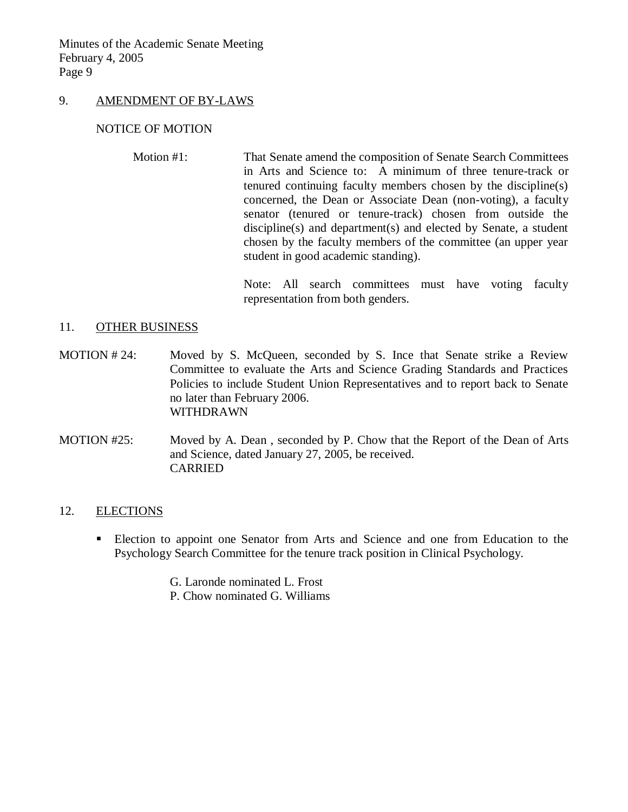#### 9. AMENDMENT OF BY-LAWS

#### NOTICE OF MOTION

Motion #1: That Senate amend the composition of Senate Search Committees in Arts and Science to: A minimum of three tenure-track or tenured continuing faculty members chosen by the discipline(s) concerned, the Dean or Associate Dean (non-voting), a faculty senator (tenured or tenure-track) chosen from outside the discipline(s) and department(s) and elected by Senate, a student chosen by the faculty members of the committee (an upper year student in good academic standing).

> Note: All search committees must have voting faculty representation from both genders.

#### 11. OTHER BUSINESS

- MOTION #24: Moved by S. McQueen, seconded by S. Ince that Senate strike a Review Committee to evaluate the Arts and Science Grading Standards and Practices Policies to include Student Union Representatives and to report back to Senate no later than February 2006. WITHDRAWN
- MOTION #25: Moved by A. Dean , seconded by P. Chow that the Report of the Dean of Arts and Science, dated January 27, 2005, be received. CARRIED

# 12. ELECTIONS

- Election to appoint one Senator from Arts and Science and one from Education to the Psychology Search Committee for the tenure track position in Clinical Psychology.
	- G. Laronde nominated L. Frost
	- P. Chow nominated G. Williams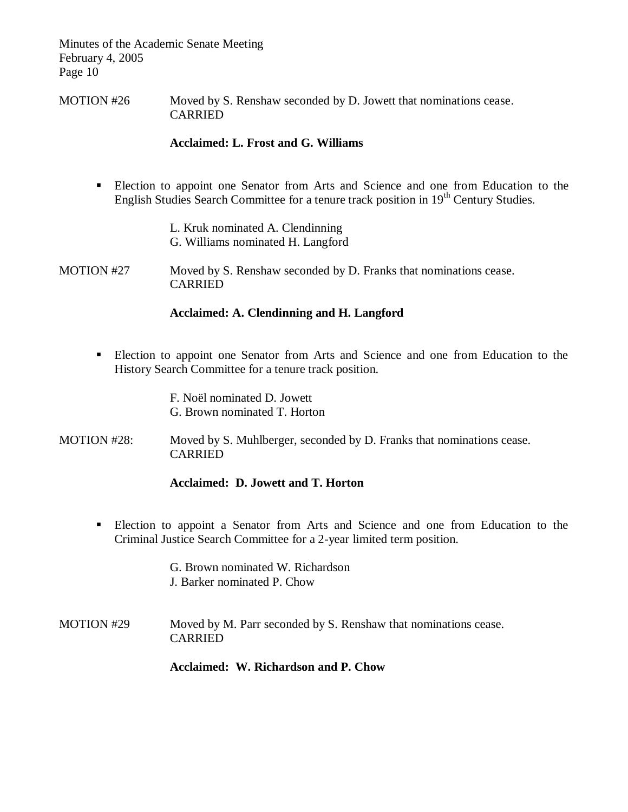MOTION #26 Moved by S. Renshaw seconded by D. Jowett that nominations cease. CARRIED

# **Acclaimed: L. Frost and G. Williams**

- Election to appoint one Senator from Arts and Science and one from Education to the English Studies Search Committee for a tenure track position in 19<sup>th</sup> Century Studies.
	- L. Kruk nominated A. Clendinning G. Williams nominated H. Langford
- MOTION #27 Moved by S. Renshaw seconded by D. Franks that nominations cease. CARRIED

# **Acclaimed: A. Clendinning and H. Langford**

 Election to appoint one Senator from Arts and Science and one from Education to the History Search Committee for a tenure track position.

> F. Noël nominated D. Jowett G. Brown nominated T. Horton

MOTION #28: Moved by S. Muhlberger, seconded by D. Franks that nominations cease. CARRIED

#### **Acclaimed: D. Jowett and T. Horton**

 Election to appoint a Senator from Arts and Science and one from Education to the Criminal Justice Search Committee for a 2-year limited term position.

> G. Brown nominated W. Richardson J. Barker nominated P. Chow

MOTION #29 Moved by M. Parr seconded by S. Renshaw that nominations cease. CARRIED

# **Acclaimed: W. Richardson and P. Chow**